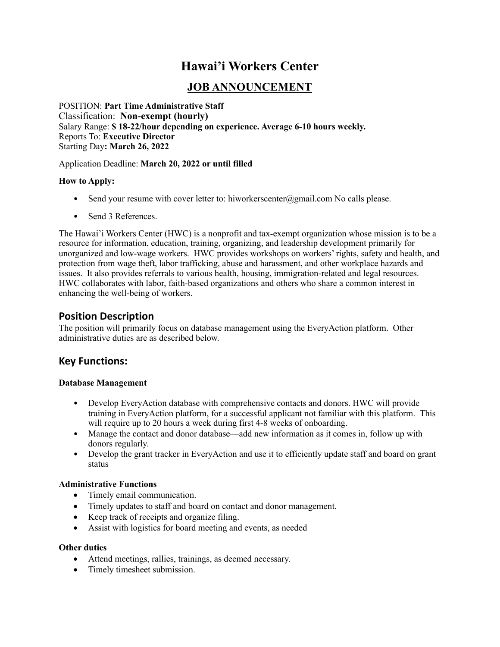# **Hawai'i Workers Center**

## **JOB ANNOUNCEMENT**

POSITION: **Part Time Administrative Staff** Classification: **Non-exempt (hourly)** Salary Range: **\$ 18-22/hour depending on experience. Average 6-10 hours weekly.** Reports To: **Executive Director** Starting Day**: March 26, 2022** 

#### Application Deadline: **March 20, 2022 or until filled**

#### **How to Apply:**

- Send your resume with cover letter to: hiworkerscenter $\omega$ gmail.com No calls please.
- Send 3 References.

The Hawai'i Workers Center (HWC) is a nonprofit and tax-exempt organization whose mission is to be a resource for information, education, training, organizing, and leadership development primarily for unorganized and low-wage workers. HWC provides workshops on workers' rights, safety and health, and protection from wage theft, labor trafficking, abuse and harassment, and other workplace hazards and issues. It also provides referrals to various health, housing, immigration-related and legal resources. HWC collaborates with labor, faith-based organizations and others who share a common interest in enhancing the well-being of workers.

## **Position Description**

The position will primarily focus on database management using the EveryAction platform. Other administrative duties are as described below.

## **Key Functions:**

#### **Database Management**

- Develop EveryAction database with comprehensive contacts and donors. HWC will provide training in EveryAction platform, for a successful applicant not familiar with this platform. This will require up to 20 hours a week during first 4-8 weeks of onboarding.
- Manage the contact and donor database—add new information as it comes in, follow up with donors regularly.
- Develop the grant tracker in EveryAction and use it to efficiently update staff and board on grant status

#### **Administrative Functions**

- Timely email communication.
- Timely updates to staff and board on contact and donor management.
- Keep track of receipts and organize filing.
- Assist with logistics for board meeting and events, as needed

#### **Other duties**

- Attend meetings, rallies, trainings, as deemed necessary.
- Timely timesheet submission.